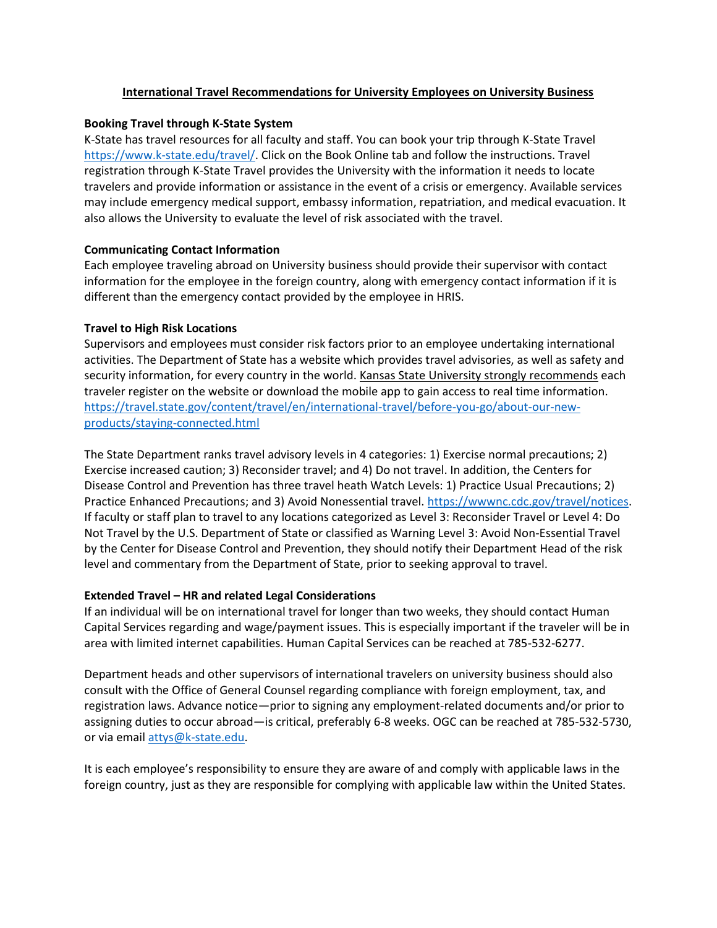## **International Travel Recommendations for University Employees on University Business**

#### **Booking Travel through K-State System**

K-State has travel resources for all faculty and staff. You can book your trip through K-State Travel [https://www.k-state.edu/travel/.](https://www.k-state.edu/travel/) Click on the Book Online tab and follow the instructions. Travel registration through K-State Travel provides the University with the information it needs to locate travelers and provide information or assistance in the event of a crisis or emergency. Available services may include emergency medical support, embassy information, repatriation, and medical evacuation. It also allows the University to evaluate the level of risk associated with the travel.

### **Communicating Contact Information**

Each employee traveling abroad on University business should provide their supervisor with contact information for the employee in the foreign country, along with emergency contact information if it is different than the emergency contact provided by the employee in HRIS.

### **Travel to High Risk Locations**

Supervisors and employees must consider risk factors prior to an employee undertaking international activities. The Department of State has a website which provides travel advisories, as well as safety and security information, for every country in the world. Kansas State University strongly recommends each traveler register on the website or download the mobile app to gain access to real time information. [https://travel.state.gov/content/travel/en/international-travel/before-you-go/about-our-new](https://travel.state.gov/content/travel/en/international-travel/before-you-go/about-our-new-products/staying-connected.html)[products/staying-connected.html](https://travel.state.gov/content/travel/en/international-travel/before-you-go/about-our-new-products/staying-connected.html) 

The State Department ranks travel advisory levels in 4 categories: 1) Exercise normal precautions; 2) Exercise increased caution; 3) Reconsider travel; and 4) Do not travel. In addition, the Centers for Disease Control and Prevention has three travel heath Watch Levels: 1) Practice Usual Precautions; 2) Practice Enhanced Precautions; and 3) Avoid Nonessential travel. [https://wwwnc.cdc.gov/travel/notices.](https://wwwnc.cdc.gov/travel/notices) If faculty or staff plan to travel to any locations categorized as Level 3: Reconsider Travel or Level 4: Do Not Travel by the U.S. Department of State or classified as Warning Level 3: Avoid Non-Essential Travel by the Center for Disease Control and Prevention, they should notify their Department Head of the risk level and commentary from the Department of State, prior to seeking approval to travel.

# **Extended Travel – HR and related Legal Considerations**

If an individual will be on international travel for longer than two weeks, they should contact Human Capital Services regarding and wage/payment issues. This is especially important if the traveler will be in area with limited internet capabilities. Human Capital Services can be reached at 785-532-6277.

Department heads and other supervisors of international travelers on university business should also consult with the Office of General Counsel regarding compliance with foreign employment, tax, and registration laws. Advance notice—prior to signing any employment-related documents and/or prior to assigning duties to occur abroad—is critical, preferably 6-8 weeks. OGC can be reached at 785-532-5730, or via emai[l attys@k-state.edu.](mailto:attys@k-state.edu)

It is each employee's responsibility to ensure they are aware of and comply with applicable laws in the foreign country, just as they are responsible for complying with applicable law within the United States.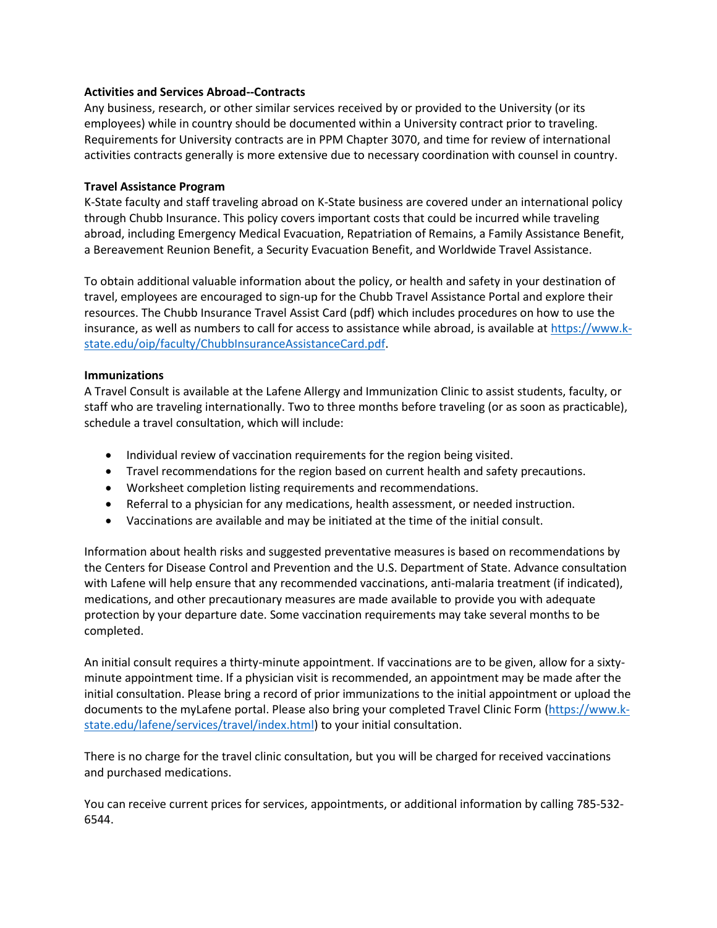## **Activities and Services Abroad--Contracts**

Any business, research, or other similar services received by or provided to the University (or its employees) while in country should be documented within a University contract prior to traveling. Requirements for University contracts are in PPM Chapter 3070, and time for review of international activities contracts generally is more extensive due to necessary coordination with counsel in country.

### **Travel Assistance Program**

K-State faculty and staff traveling abroad on K-State business are covered under an international policy through Chubb Insurance. This policy covers important costs that could be incurred while traveling abroad, including Emergency Medical Evacuation, Repatriation of Remains, a Family Assistance Benefit, a Bereavement Reunion Benefit, a Security Evacuation Benefit, and Worldwide Travel Assistance.

To obtain additional valuable information about the policy, or health and safety in your destination of travel, employees are encouraged to sign-up for the Chubb Travel Assistance Portal and explore their resources. The Chubb Insurance Travel Assist Card (pdf) which includes procedures on how to use the insurance, as well as numbers to call for access to assistance while abroad, is available at [https://www.k](https://www.k-state.edu/oip/faculty/ChubbInsuranceAssistanceCard.pdf)[state.edu/oip/faculty/ChubbInsuranceAssistanceCard.pdf.](https://www.k-state.edu/oip/faculty/ChubbInsuranceAssistanceCard.pdf)

#### **Immunizations**

A Travel Consult is available at the Lafene Allergy and Immunization Clinic to assist students, faculty, or staff who are traveling internationally. Two to three months before traveling (or as soon as practicable), schedule a travel consultation, which will include:

- Individual review of vaccination requirements for the region being visited.
- Travel recommendations for the region based on current health and safety precautions.
- Worksheet completion listing requirements and recommendations.
- Referral to a physician for any medications, health assessment, or needed instruction.
- Vaccinations are available and may be initiated at the time of the initial consult.

Information about health risks and suggested preventative measures is based on recommendations by the Centers for Disease Control and Prevention and the U.S. Department of State. Advance consultation with Lafene will help ensure that any recommended vaccinations, anti-malaria treatment (if indicated), medications, and other precautionary measures are made available to provide you with adequate protection by your departure date. Some vaccination requirements may take several months to be completed.

An initial consult requires a thirty-minute appointment. If vaccinations are to be given, allow for a sixtyminute appointment time. If a physician visit is recommended, an appointment may be made after the initial consultation. Please bring a record of prior immunizations to the initial appointment or upload the documents to the myLafene portal. Please also bring your completed Travel Clinic Form [\(https://www.k](https://www.k-state.edu/lafene/services/travel/index.html)[state.edu/lafene/services/travel/index.html\)](https://www.k-state.edu/lafene/services/travel/index.html) to your initial consultation.

There is no charge for the travel clinic consultation, but you will be charged for received vaccinations and purchased medications.

You can receive current prices for services, appointments, or additional information by calling 785-532- 6544.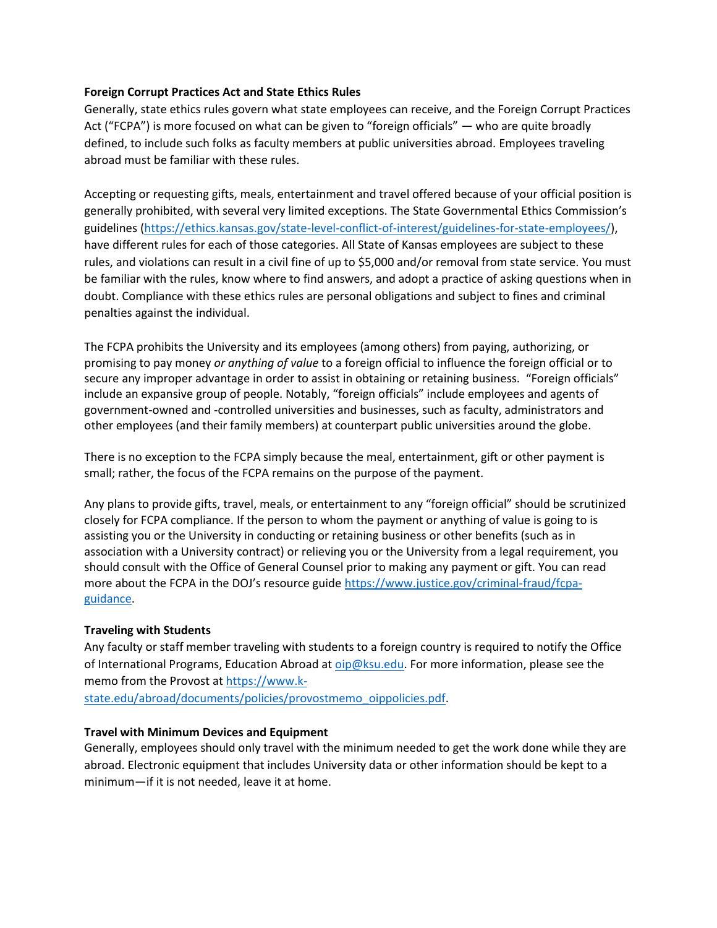# **Foreign Corrupt Practices Act and State Ethics Rules**

Generally, state ethics rules govern what state employees can receive, and the Foreign Corrupt Practices Act ("FCPA") is more focused on what can be given to "foreign officials" — who are quite broadly defined, to include such folks as faculty members at public universities abroad. Employees traveling abroad must be familiar with these rules.

Accepting or requesting gifts, meals, entertainment and travel offered because of your official position is generally prohibited, with several very limited exceptions. The State Governmental Ethics Commission's guidelines [\(https://ethics.kansas.gov/state-level-conflict-of-interest/guidelines-for-state-employees/\)](https://ethics.kansas.gov/state-level-conflict-of-interest/guidelines-for-state-employees/), have different rules for each of those categories. All State of Kansas employees are subject to these rules, and violations can result in a civil fine of up to \$5,000 and/or removal from state service. You must be familiar with the rules, know where to find answers, and adopt a practice of asking questions when in doubt. Compliance with these ethics rules are personal obligations and subject to fines and criminal penalties against the individual.

The FCPA prohibits the University and its employees (among others) from paying, authorizing, or promising to pay money *or anything of value* to a foreign official to influence the foreign official or to secure any improper advantage in order to assist in obtaining or retaining business. "Foreign officials" include an expansive group of people. Notably, "foreign officials" include employees and agents of government-owned and -controlled universities and businesses, such as faculty, administrators and other employees (and their family members) at counterpart public universities around the globe.

There is no exception to the FCPA simply because the meal, entertainment, gift or other payment is small; rather, the focus of the FCPA remains on the purpose of the payment.

Any plans to provide gifts, travel, meals, or entertainment to any "foreign official" should be scrutinized closely for FCPA compliance. If the person to whom the payment or anything of value is going to is assisting you or the University in conducting or retaining business or other benefits (such as in association with a University contract) or relieving you or the University from a legal requirement, you should consult with the Office of General Counsel prior to making any payment or gift. You can read more about the FCPA in the DOJ's resource guide [https://www.justice.gov/criminal-fraud/fcpa](https://www.justice.gov/criminal-fraud/fcpa-guidance)[guidance.](https://www.justice.gov/criminal-fraud/fcpa-guidance)

# **Traveling with Students**

Any faculty or staff member traveling with students to a foreign country is required to notify the Office of International Programs, Education Abroad at [oip@ksu.edu.](mailto:oip@ksu.edu) For more information, please see the memo from the Provost at [https://www.k-](https://www.k-state.edu/abroad/documents/policies/provostmemo_oippolicies.pdf)

[state.edu/abroad/documents/policies/provostmemo\\_oippolicies.pdf.](https://www.k-state.edu/abroad/documents/policies/provostmemo_oippolicies.pdf)

#### **Travel with Minimum Devices and Equipment**

Generally, employees should only travel with the minimum needed to get the work done while they are abroad. Electronic equipment that includes University data or other information should be kept to a minimum—if it is not needed, leave it at home.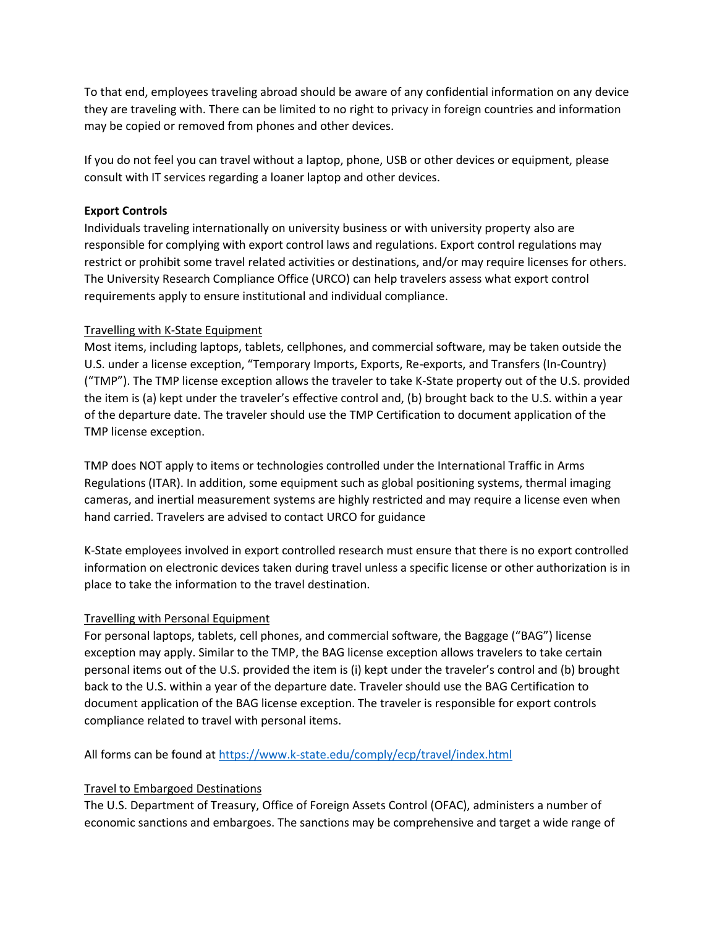To that end, employees traveling abroad should be aware of any confidential information on any device they are traveling with. There can be limited to no right to privacy in foreign countries and information may be copied or removed from phones and other devices.

If you do not feel you can travel without a laptop, phone, USB or other devices or equipment, please consult with IT services regarding a loaner laptop and other devices.

# **Export Controls**

Individuals traveling internationally on university business or with university property also are responsible for complying with export control laws and regulations. Export control regulations may restrict or prohibit some travel related activities or destinations, and/or may require licenses for others. The University Research Compliance Office (URCO) can help travelers assess what export control requirements apply to ensure institutional and individual compliance.

# Travelling with K-State Equipment

Most items, including laptops, tablets, cellphones, and commercial software, may be taken outside the U.S. under a license exception, "Temporary Imports, Exports, Re-exports, and Transfers (In-Country) ("TMP"). The TMP license exception allows the traveler to take K-State property out of the U.S. provided the item is (a) kept under the traveler's effective control and, (b) brought back to the U.S. within a year of the departure date. The traveler should use the TMP Certification to document application of the TMP license exception.

TMP does NOT apply to items or technologies controlled under the International Traffic in Arms Regulations (ITAR). In addition, some equipment such as global positioning systems, thermal imaging cameras, and inertial measurement systems are highly restricted and may require a license even when hand carried. Travelers are advised to contact URCO for guidance

K-State employees involved in export controlled research must ensure that there is no export controlled information on electronic devices taken during travel unless a specific license or other authorization is in place to take the information to the travel destination.

# Travelling with Personal Equipment

For personal laptops, tablets, cell phones, and commercial software, the Baggage ("BAG") license exception may apply. Similar to the TMP, the BAG license exception allows travelers to take certain personal items out of the U.S. provided the item is (i) kept under the traveler's control and (b) brought back to the U.S. within a year of the departure date. Traveler should use the BAG Certification to document application of the BAG license exception. The traveler is responsible for export controls compliance related to travel with personal items.

All forms can be found at <https://www.k-state.edu/comply/ecp/travel/index.html>

# Travel to Embargoed Destinations

The U.S. Department of Treasury, Office of Foreign Assets Control (OFAC), administers a number of economic sanctions and embargoes. The sanctions may be comprehensive and target a wide range of